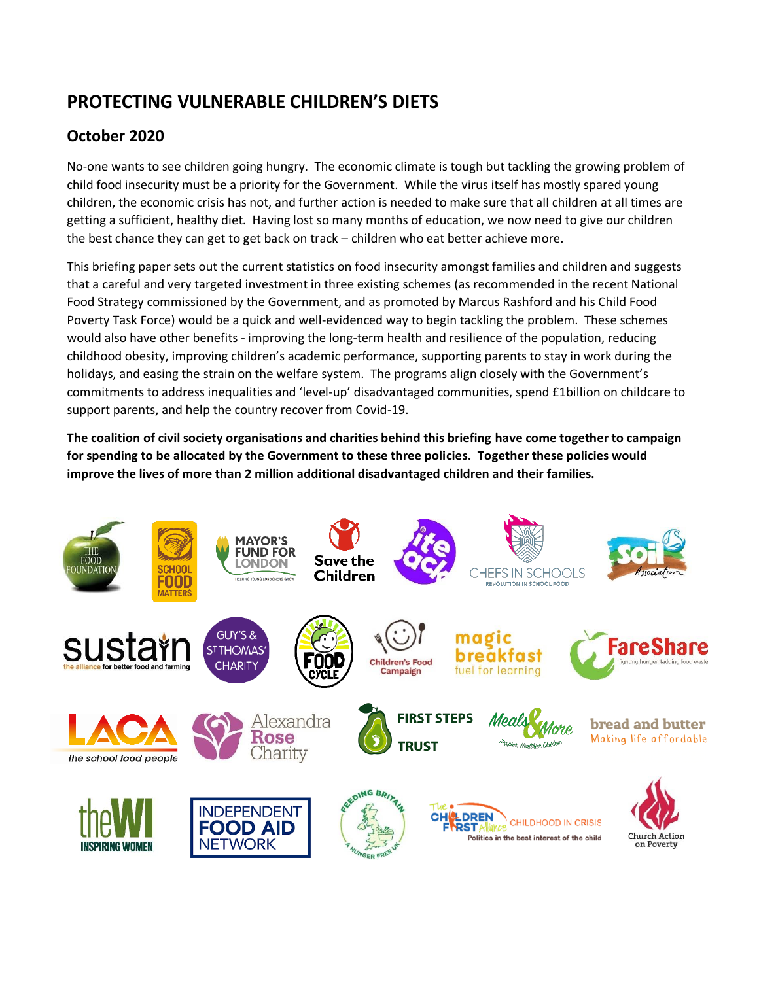# **PROTECTING VULNERABLE CHILDREN'S DIETS**

## **October 2020**

No-one wants to see children going hungry. The economic climate is tough but tackling the growing problem of child food insecurity must be a priority for the Government. While the virus itself has mostly spared young children, the economic crisis has not, and further action is needed to make sure that all children at all times are getting a sufficient, healthy diet. Having lost so many months of education, we now need to give our children the best chance they can get to get back on track – children who eat better achieve more.

This briefing paper sets out the current statistics on food insecurity amongst families and children and suggests that a careful and very targeted investment in three existing schemes (as recommended in the recent National Food Strategy commissioned by the Government, and as promoted by Marcus Rashford and his Child Food Poverty Task Force) would be a quick and well-evidenced way to begin tackling the problem. These schemes would also have other benefits - improving the long-term health and resilience of the population, reducing childhood obesity, improving children's academic performance, supporting parents to stay in work during the holidays, and easing the strain on the welfare system. The programs align closely with the Government's commitments to address inequalities and 'level-up' disadvantaged communities, spend £1billion on childcare to support parents, and help the country recover from Covid-19.

**The coalition of civil society organisations and charities behind this briefing have come together to campaign for spending to be allocated by the Government to these three policies. Together these policies would improve the lives of more than 2 million additional disadvantaged children and their families.**

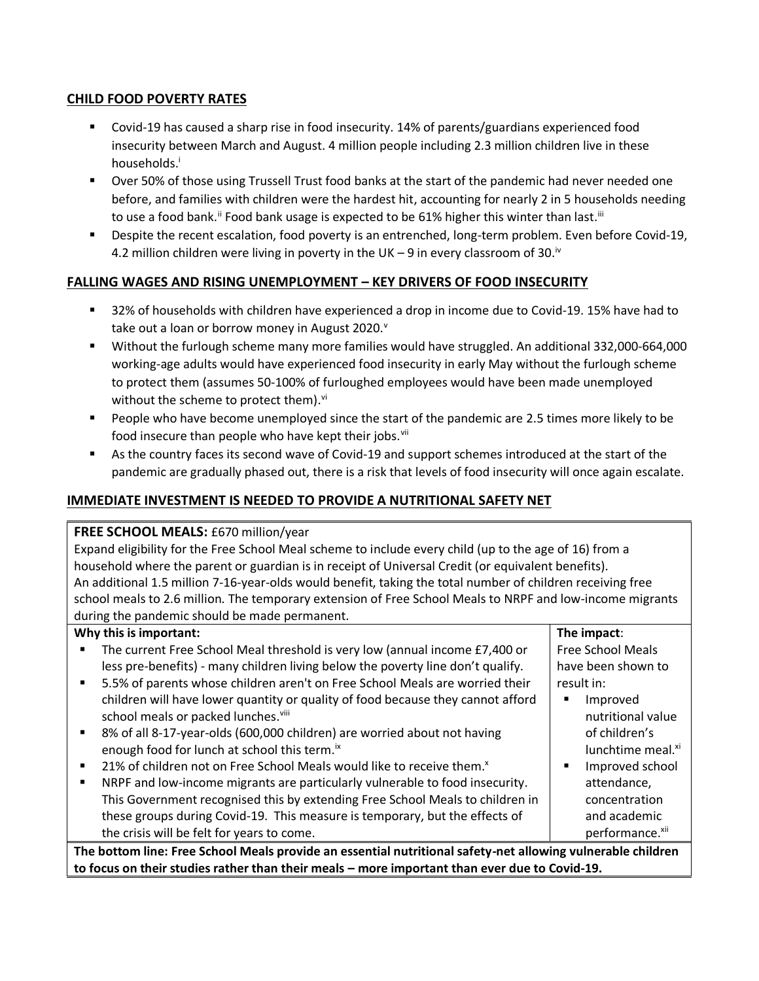#### **CHILD FOOD POVERTY RATES**

- Covid-19 has caused a sharp rise in food insecurity. 14% of parents/guardians experienced food insecurity between March and August. 4 million people including 2.3 million children live in these households.<sup>i</sup>
- Over 50% of those using Trussell Trust food banks at the start of the pandemic had never needed one before, and families with children were the hardest hit, accounting for nearly 2 in 5 households needing to use a food bank." Food bank usage is expected to be 61% higher this winter than last."'
- Despite the recent escalation, food poverty is an entrenched, long-term problem. Even before Covid-19, 4.2 million children were living in poverty in the UK – 9 in every classroom of 30. $^{\text{iv}}$

## **FALLING WAGES AND RISING UNEMPLOYMENT – KEY DRIVERS OF FOOD INSECURITY**

- 32% of households with children have experienced a drop in income due to Covid-19. 15% have had to take out a loan or borrow money in August 2020. $^{\text{v}}$
- Without the furlough scheme many more families would have struggled. An additional 332,000-664,000 working-age adults would have experienced food insecurity in early May without the furlough scheme to protect them (assumes 50-100% of furloughed employees would have been made unemployed without the scheme to protect them).<sup>vi</sup>
- People who have become unemployed since the start of the pandemic are 2.5 times more likely to be food insecure than people who have kept their jobs.<sup>vii</sup>
- As the country faces its second wave of Covid-19 and support schemes introduced at the start of the pandemic are gradually phased out, there is a risk that levels of food insecurity will once again escalate.

## **IMMEDIATE INVESTMENT IS NEEDED TO PROVIDE A NUTRITIONAL SAFETY NET**

#### **FREE SCHOOL MEALS:** £670 million/year

Expand eligibility for the Free School Meal scheme to include every child (up to the age of 16) from a household where the parent or guardian is in receipt of Universal Credit (or equivalent benefits). An additional 1.5 million 7-16-year-olds would benefit, taking the total number of children receiving free school meals to 2.6 million. The temporary extension of Free School Meals to NRPF and low-income migrants during the pandemic should be made permanent.

| Why this is important:                                                                                      | The impact:                   |  |  |
|-------------------------------------------------------------------------------------------------------------|-------------------------------|--|--|
| The current Free School Meal threshold is very low (annual income £7,400 or<br>٠                            | <b>Free School Meals</b>      |  |  |
| less pre-benefits) - many children living below the poverty line don't qualify.                             | have been shown to            |  |  |
| 5.5% of parents whose children aren't on Free School Meals are worried their<br>$\blacksquare$              | result in:                    |  |  |
| children will have lower quantity or quality of food because they cannot afford                             | Improved                      |  |  |
| school meals or packed lunches. <sup>viii</sup>                                                             | nutritional value             |  |  |
| 8% of all 8-17-year-olds (600,000 children) are worried about not having<br>$\blacksquare$                  | of children's                 |  |  |
| enough food for lunch at school this term. <sup>ix</sup>                                                    | lunchtime meal. <sup>xi</sup> |  |  |
| 21% of children not on Free School Meals would like to receive them. <sup>x</sup><br>٠                      | Improved school               |  |  |
| NRPF and low-income migrants are particularly vulnerable to food insecurity.<br>٠                           | attendance,                   |  |  |
| This Government recognised this by extending Free School Meals to children in                               | concentration                 |  |  |
| these groups during Covid-19. This measure is temporary, but the effects of                                 | and academic                  |  |  |
| the crisis will be felt for years to come.                                                                  | performance. <sup>xii</sup>   |  |  |
| The bottom line: Free School Meals provide an essential nutritional safety-net allowing vulnerable children |                               |  |  |

**to focus on their studies rather than their meals – more important than ever due to Covid-19.**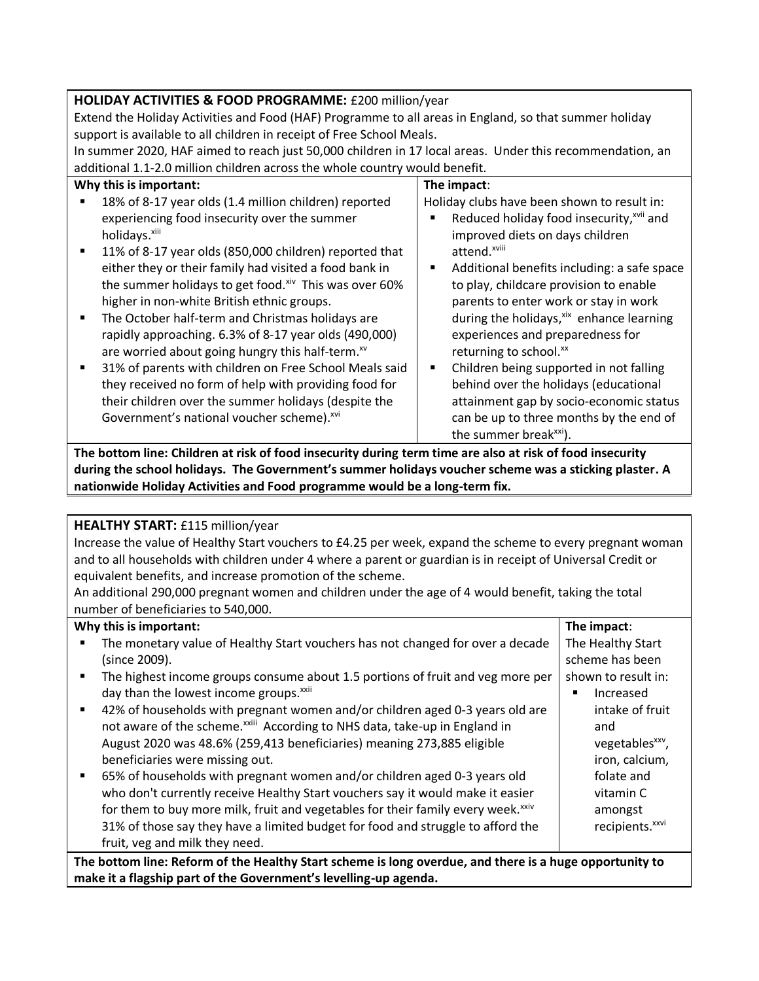## **HOLIDAY ACTIVITIES & FOOD PROGRAMME:** £200 million/year

Extend the Holiday Activities and Food (HAF) Programme to all areas in England, so that summer holiday support is available to all children in receipt of Free School Meals.

In summer 2020, HAF aimed to reach just 50,000 children in 17 local areas. Under this recommendation, an additional 1.1-2.0 million children across the whole country would benefit.

|                | Why this is important:                                       |                | The impact:                                          |
|----------------|--------------------------------------------------------------|----------------|------------------------------------------------------|
|                | 18% of 8-17 year olds (1.4 million children) reported        |                | Holiday clubs have been shown to result in:          |
|                | experiencing food insecurity over the summer                 |                | Reduced holiday food insecurity, <sup>xvii</sup> and |
|                | holidays. <sup>xiii</sup>                                    |                | improved diets on days children                      |
| ٠              | 11% of 8-17 year olds (850,000 children) reported that       |                | attend. <sup>xviii</sup>                             |
|                | either they or their family had visited a food bank in       |                | Additional benefits including: a safe space          |
|                | the summer holidays to get food. Xiv This was over 60%       |                | to play, childcare provision to enable               |
|                | higher in non-white British ethnic groups.                   |                | parents to enter work or stay in work                |
| $\blacksquare$ | The October half-term and Christmas holidays are             |                | during the holidays, xix enhance learning            |
|                | rapidly approaching. 6.3% of 8-17 year olds (490,000)        |                | experiences and preparedness for                     |
|                | are worried about going hungry this half-term. <sup>xv</sup> |                | returning to school.xx                               |
| ٠              | 31% of parents with children on Free School Meals said       | $\blacksquare$ | Children being supported in not falling              |
|                | they received no form of help with providing food for        |                | behind over the holidays (educational                |
|                | their children over the summer holidays (despite the         |                | attainment gap by socio-economic status              |
|                | Government's national voucher scheme). XVI                   |                | can be up to three months by the end of              |
|                |                                                              |                | the summer break <sup>xxi</sup> ).                   |

**The bottom line: Children at risk of food insecurity during term time are also at risk of food insecurity during the school holidays. The Government's summer holidays voucher scheme was a sticking plaster. A nationwide Holiday Activities and Food programme would be a long-term fix.**

#### **HEALTHY START:** £115 million/year

Increase the value of Healthy Start vouchers to £4.25 per week, expand the scheme to every pregnant woman and to all households with children under 4 where a parent or guardian is in receipt of Universal Credit or equivalent benefits, and increase promotion of the scheme.

An additional 290,000 pregnant women and children under the age of 4 would benefit, taking the total number of beneficiaries to 540,000.

## **Why this is important:**

|                                                                                                         | Why this is important:                                                                       | The impact:                 |  |  |
|---------------------------------------------------------------------------------------------------------|----------------------------------------------------------------------------------------------|-----------------------------|--|--|
|                                                                                                         | The monetary value of Healthy Start vouchers has not changed for over a decade               | The Healthy Start           |  |  |
|                                                                                                         | (since 2009).                                                                                | scheme has been             |  |  |
| ٠                                                                                                       | The highest income groups consume about 1.5 portions of fruit and veg more per               | shown to result in:         |  |  |
|                                                                                                         | day than the lowest income groups. <sup>xxii</sup>                                           | Increased                   |  |  |
| $\blacksquare$                                                                                          | 42% of households with pregnant women and/or children aged 0-3 years old are                 | intake of fruit             |  |  |
|                                                                                                         | not aware of the scheme. <sup>xxiii</sup> According to NHS data, take-up in England in       | and                         |  |  |
|                                                                                                         | August 2020 was 48.6% (259,413 beneficiaries) meaning 273,885 eligible                       | vegetables <sup>xxv</sup> , |  |  |
|                                                                                                         | beneficiaries were missing out.                                                              | iron, calcium,              |  |  |
| $\blacksquare$                                                                                          | 65% of households with pregnant women and/or children aged 0-3 years old                     | folate and                  |  |  |
|                                                                                                         | who don't currently receive Healthy Start vouchers say it would make it easier               | vitamin C                   |  |  |
|                                                                                                         | for them to buy more milk, fruit and vegetables for their family every week. <sup>xxiv</sup> | amongst                     |  |  |
|                                                                                                         | 31% of those say they have a limited budget for food and struggle to afford the              | recipients. <sup>xxvi</sup> |  |  |
|                                                                                                         | fruit, veg and milk they need.                                                               |                             |  |  |
| The bottom line: Reform of the Healthy Start scheme is long overdue, and there is a huge opportunity to |                                                                                              |                             |  |  |

**The bottom line: Reform of the Healthy Start scheme is long overdue, and there is a huge opportunity to make it a flagship part of the Government's levelling-up agenda.**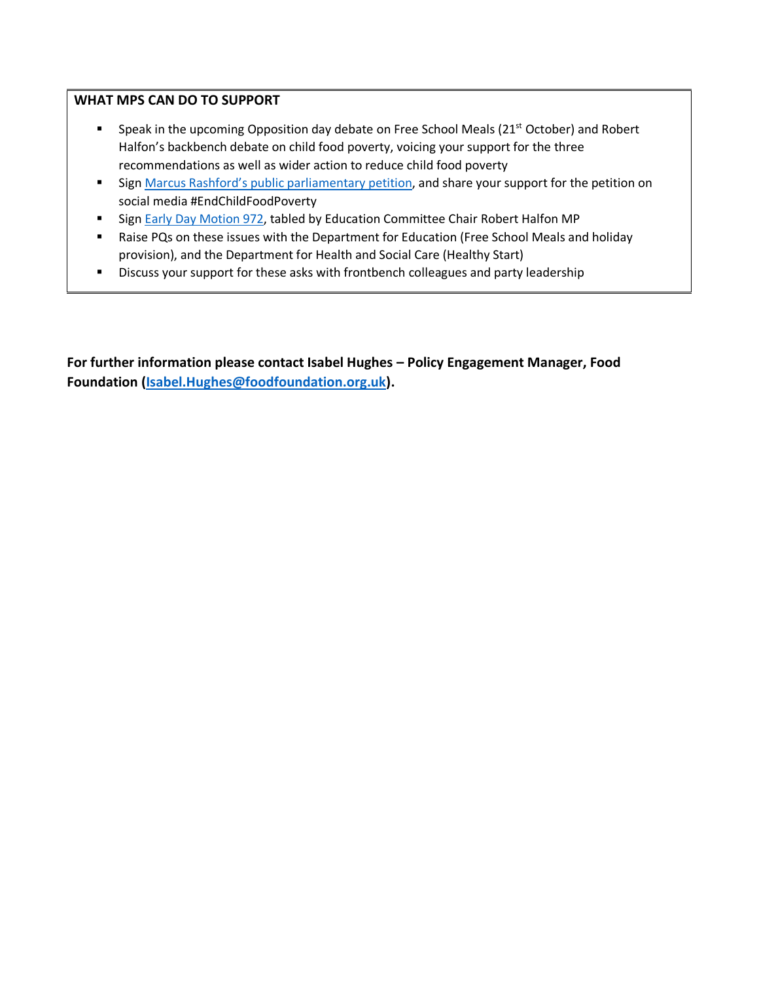#### **WHAT MPS CAN DO TO SUPPORT**

- Speak in the upcoming Opposition day debate on Free School Meals (21<sup>st</sup> October) and Robert Halfon's backbench debate on child food poverty, voicing your support for the three recommendations as well as wider action to reduce child food poverty
- Sign [Marcus Rashford's public parliamentary petition](https://petition.parliament.uk/petitions/554276), and share your support for the petition on social media #EndChildFoodPoverty
- Sig[n Early Day Motion 972,](https://edm.parliament.uk/early-day-motion/57530/tackling-child-food-insecurity) tabled by Education Committee Chair Robert Halfon MP
- Raise PQs on these issues with the Department for Education (Free School Meals and holiday provision), and the Department for Health and Social Care (Healthy Start)
- Discuss your support for these asks with frontbench colleagues and party leadership

**For further information please contact Isabel Hughes – Policy Engagement Manager, Food Foundation [\(Isabel.Hughes@foodfoundation.org.uk\)](mailto:Isabel.Hughes@foodfoundation.org.uk).**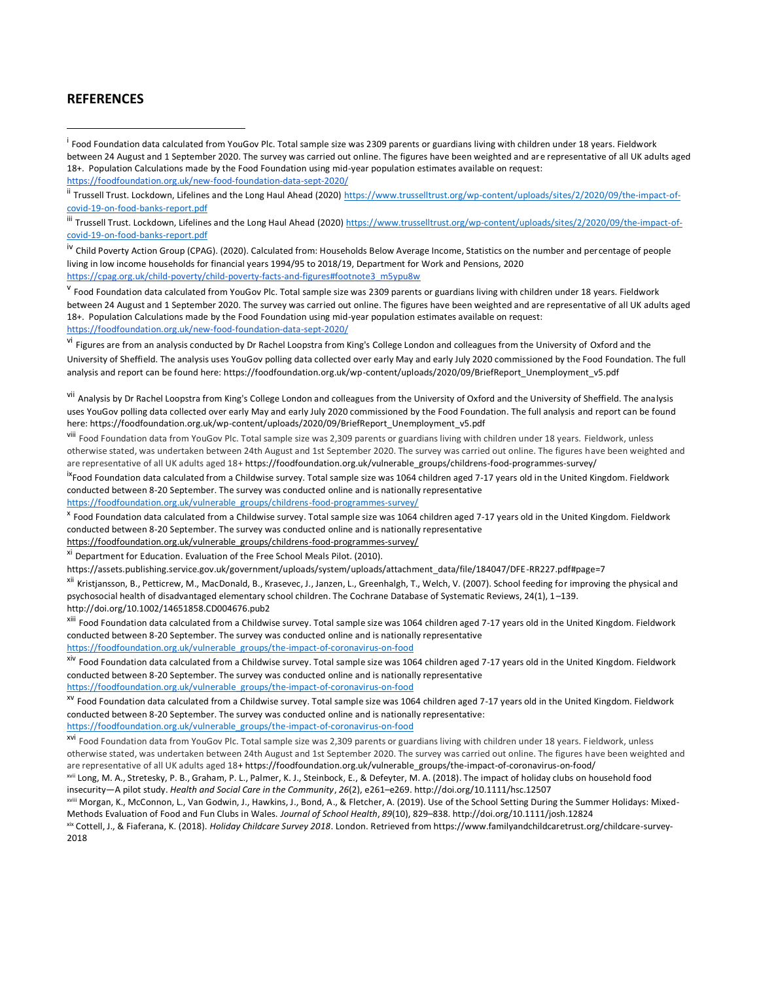#### **REFERENCES**

<sup>iv</sup> Child Poverty Action Group (CPAG). (2020). Calculated from: Households Below Average Income, Statistics on the number and per centage of people living in low income households for financial years 1994/95 to 2018/19, Department for Work and Pensions, 2020 [https://cpag.org.uk/child-poverty/child-poverty-facts-and-figures#footnote3\\_m5ypu8w](https://cpag.org.uk/child-poverty/child-poverty-facts-and-figures#footnote3_m5ypu8w)

<sup>v</sup> Food Foundation data calculated from YouGov Plc. Total sample size was 2309 parents or guardians living with children under 18 years. Fieldwork between 24 August and 1 September 2020. The survey was carried out online. The figures have been weighted and are representative of all UK adults aged 18+. Population Calculations made by the Food Foundation using mid-year population estimates available on request: https://foodfoundation.org.uk/new-food-foundation-data-sept-2020/

<sup>vi</sup> Figures are from an analysis conducted by Dr Rachel Loopstra from King's College London and colleagues from the University of Oxford and the University of Sheffield. The analysis uses YouGov polling data collected over early May and early July 2020 commissioned by the Food Foundation. The full analysis and report can be found here: https://foodfoundation.org.uk/wp-content/uploads/2020/09/BriefReport\_Unemployment\_v5.pdf

vii Analysis by Dr Rachel Loopstra from King's College London and colleagues from the University of Oxford and the University of Sheffield. The analysis uses YouGov polling data collected over early May and early July 2020 commissioned by the Food Foundation. The full analysis and report can be found here: https://foodfoundation.org.uk/wp-content/uploads/2020/09/BriefReport\_Unemployment\_v5.pdf

viii Food Foundation data from YouGov Plc. Total sample size was 2,309 parents or guardians living with children under 18 years. Fieldwork, unless otherwise stated, was undertaken between 24th August and 1st September 2020. The survey was carried out online. The figures have been weighted and are representative of all UK adults aged 18[+ https://foodfoundation.org.uk/vulnerable\\_groups/childrens-food-programmes-survey/](https://foodfoundation.org.uk/vulnerable_groups/childrens-food-programmes-survey/)

<sup>ix</sup>Food Foundation data calculated from a Childwise survey. Total sample size was 1064 children aged 7-17 years old in the United Kingdom. Fieldwork conducted between 8-20 September. The survey was conducted online and is nationally representative

[https://foodfoundation.org.uk/vulnerable\\_groups/childrens-food-programmes-survey/](https://foodfoundation.org.uk/vulnerable_groups/childrens-food-programmes-survey/)

x Food Foundation data calculated from a Childwise survey. Total sample size was 1064 children aged 7-17 years old in the United Kingdom. Fieldwork conducted between 8-20 September. The survey was conducted online and is nationally representative

[https://foodfoundation.org.uk/vulnerable\\_groups/childrens-food-programmes-survey/](https://foodfoundation.org.uk/vulnerable_groups/childrens-food-programmes-survey/)

xi Department for Education. Evaluation of the Free School Meals Pilot. (2010).

https://assets.publishing.service.gov.uk/government/uploads/system/uploads/attachment\_data/file/184047/DFE-RR227.pdf#page=7

xii Kristjansson, B., Petticrew, M., MacDonald, B., Krasevec, J., Janzen, L., Greenhalgh, T., Welch, V. (2007). School feeding for improving the physical and psychosocial health of disadvantaged elementary school children. The Cochrane Database of Systematic Reviews, 24(1), 1–139. http://doi.org/10.1002/14651858.CD004676.pub2

<sup>xiii</sup> Food Foundation data calculated from a Childwise survey. Total sample size was 1064 children aged 7-17 years old in the United Kingdom. Fieldwork conducted between 8-20 September. The survey was conducted online and is nationally representative [https://foodfoundation.org.uk/vulnerable\\_groups/the-impact-of-coronavirus-on-food](https://foodfoundation.org.uk/vulnerable_groups/the-impact-of-coronavirus-on-food)

<sup>xiv</sup> Food Foundation data calculated from a Childwise survey. Total sample size was 1064 children aged 7-17 years old in the United Kingdom. Fieldwork conducted between 8-20 September. The survey was conducted online and is nationally representative [https://foodfoundation.org.uk/vulnerable\\_groups/the-impact-of-coronavirus-on-food](https://foodfoundation.org.uk/vulnerable_groups/the-impact-of-coronavirus-on-food)

xv Food Foundation data calculated from a Childwise survey. Total sample size was 1064 children aged 7-17 years old in the United Kingdom. Fieldwork conducted between 8-20 September. The survey was conducted online and is nationally representative:

[https://foodfoundation.org.uk/vulnerable\\_groups/the-impact-of-coronavirus-on-food](https://foodfoundation.org.uk/vulnerable_groups/the-impact-of-coronavirus-on-food)

xvi Food Foundation data from YouGov Plc. Total sample size was 2,309 parents or guardians living with children under 18 years. Fieldwork, unless otherwise stated, was undertaken between 24th August and 1st September 2020. The survey was carried out online. The figures have been weighted and are representative of all UK adults aged 18+ [https://foodfoundation.org.uk/vulnerable\\_groups/the-impact-of-coronavirus-on-food/](https://foodfoundation.org.uk/vulnerable_groups/the-impact-of-coronavirus-on-food/)

xvii Long, M. A., Stretesky, P. B., Graham, P. L., Palmer, K. J., Steinbock, E., & Defeyter, M. A. (2018). The impact of holiday clubs on household food insecurity—A pilot study. *Health and Social Care in the Community*, *26*(2), e261–e269. http://doi.org/10.1111/hsc.12507

xviii Morgan, K., McConnon, L., Van Godwin, J., Hawkins, J., Bond, A., & Fletcher, A. (2019). Use of the School Setting During the Summer Holidays: Mixed-Methods Evaluation of Food and Fun Clubs in Wales. *Journal of School Health*, *89*(10), 829–838. http://doi.org/10.1111/josh.12824

xix Cottell, J., & Fiaferana, K. (2018). *Holiday Childcare Survey 2018*. London. Retrieved from https://www.familyandchildcaretrust.org/childcare-survey-2018

<sup>&</sup>lt;sup>i</sup> Food Foundation data calculated from YouGov Plc. Total sample size was 2309 parents or guardians living with children under 18 years. Fieldwork between 24 August and 1 September 2020. The survey was carried out online. The figures have been weighted and are representative of all UK adults aged 18+. Population Calculations made by the Food Foundation using mid-year population estimates available on request: https://foodfoundation.org.uk/new-food-foundation-data-sept-2020/

<sup>&</sup>lt;sup>ii</sup> Trussell Trust. Lockdown, Lifelines and the Long Haul Ahead (2020) [https://www.trusselltrust.org/wp-content/uploads/sites/2/2020/09/the-impact-of](https://www.trusselltrust.org/wp-content/uploads/sites/2/2020/09/the-impact-of-covid-19-on-food-banks-report.pdf)[covid-19-on-food-banks-report.pdf](https://www.trusselltrust.org/wp-content/uploads/sites/2/2020/09/the-impact-of-covid-19-on-food-banks-report.pdf)

<sup>&</sup>lt;sup>iii</sup> Trussell Trust. Lockdown, Lifelines and the Long Haul Ahead (2020) [https://www.trusselltrust.org/wp-content/uploads/sites/2/2020/09/the-impact-of](https://www.trusselltrust.org/wp-content/uploads/sites/2/2020/09/the-impact-of-covid-19-on-food-banks-report.pdf)[covid-19-on-food-banks-report.pdf](https://www.trusselltrust.org/wp-content/uploads/sites/2/2020/09/the-impact-of-covid-19-on-food-banks-report.pdf)